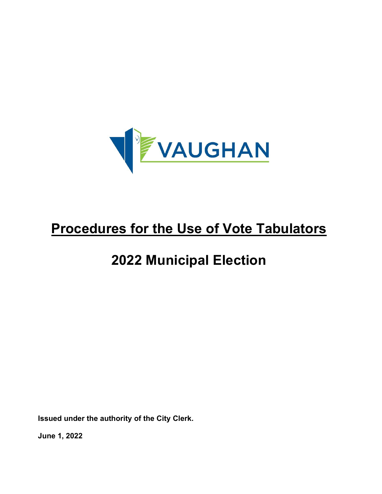

# **2022 Municipal Election**

**Issued under the authority of the City Clerk.**

**June 1, 2022**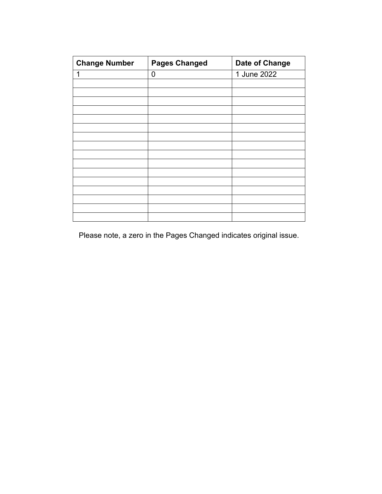| <b>Change Number</b> | <b>Pages Changed</b> | Date of Change |
|----------------------|----------------------|----------------|
|                      | 0                    | 1 June 2022    |
|                      |                      |                |
|                      |                      |                |
|                      |                      |                |
|                      |                      |                |
|                      |                      |                |
|                      |                      |                |
|                      |                      |                |
|                      |                      |                |
|                      |                      |                |
|                      |                      |                |
|                      |                      |                |
|                      |                      |                |
|                      |                      |                |
|                      |                      |                |
|                      |                      |                |

Please note, a zero in the Pages Changed indicates original issue.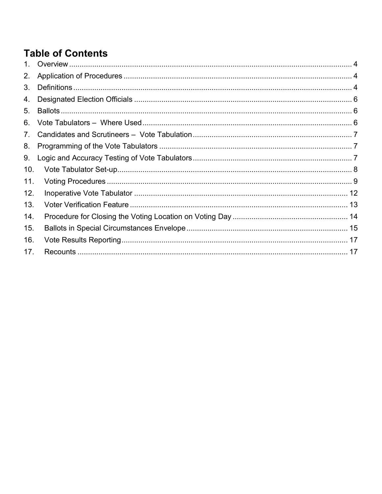## **Table of Contents**

| $1_{-}$         |  |
|-----------------|--|
| 2.              |  |
| 3.              |  |
| 4.              |  |
| 5.              |  |
| 6.              |  |
| 7 <sub>1</sub>  |  |
| 8.              |  |
| 9.              |  |
| 10 <sub>1</sub> |  |
| 11.             |  |
| 12.             |  |
| 13.             |  |
| 14.             |  |
| 15.             |  |
| 16.             |  |
| 17.             |  |
|                 |  |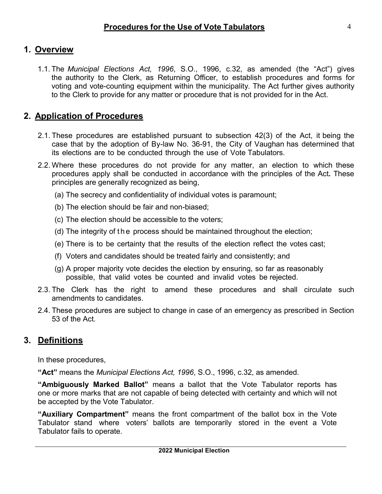## <span id="page-3-0"></span>**1. Overview**

1.1. The *Municipal Elections Act, 1996*, S.O., 1996, c.32, as amended (the "Act") gives the authority to the Clerk, as Returning Officer, to establish procedures and forms for voting and vote-counting equipment within the municipality. The Act further gives authority to the Clerk to provide for any matter or procedure that is not provided for in the Act.

## <span id="page-3-1"></span>**2. Application of Procedures**

- 2.1. These procedures are established pursuant to subsection 42(3) of the Act, it being the case that by the adoption of By-law No. 36-91, the City of Vaughan has determined that its elections are to be conducted through the use of Vote Tabulators.
- 2.2. Where these procedures do not provide for any matter, an election to which these procedures apply shall be conducted in accordance with the principles of the Act*.* These principles are generally recognized as being,
	- (a) The secrecy and confidentiality of individual votes is paramount;
	- (b) The election should be fair and non-biased;
	- (c) The election should be accessible to the voters;
	- (d) The integrity of the process should be maintained throughout the election;
	- (e) There is to be certainty that the results of the election reflect the votes cast;
	- (f) Voters and candidates should be treated fairly and consistently; and
	- (g) A proper majority vote decides the election by ensuring, so far as reasonably possible, that valid votes be counted and invalid votes be rejected.
- 2.3. The Clerk has the right to amend these procedures and shall circulate such amendments to candidates.
- 2.4. These procedures are subject to change in case of an emergency as prescribed in Section 53 of the Act*.*

## <span id="page-3-2"></span>**3. Definitions**

In these procedures,

**"Act"** means the *Municipal Elections Act, 1996*, S.O., 1996, c.32, as amended.

**"Ambiguously Marked Ballot"** means a ballot that the Vote Tabulator reports has one or more marks that are not capable of being detected with certainty and which will not be accepted by the Vote Tabulator.

**"Auxiliary Compartment"** means the front compartment of the ballot box in the Vote Tabulator stand where voters' ballots are temporarily stored in the event a Vote Tabulator fails to operate.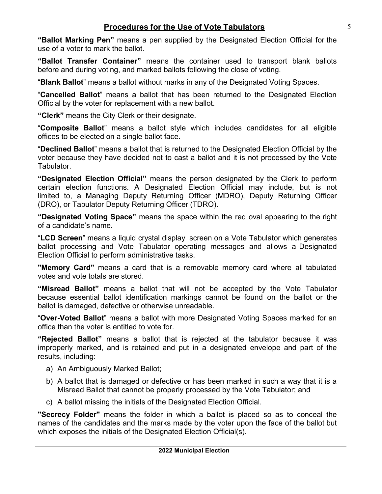**"Ballot Marking Pen"** means a pen supplied by the Designated Election Official for the use of a voter to mark the ballot.

**"Ballot Transfer Container"** means the container used to transport blank ballots before and during voting, and marked ballots following the close of voting.

"**Blank Ballot**" means a ballot without marks in any of the Designated Voting Spaces.

"**Cancelled Ballot**" means a ballot that has been returned to the Designated Election Official by the voter for replacement with a new ballot.

**"Clerk"** means the City Clerk or their designate.

"**Composite Ballot**" means a ballot style which includes candidates for all eligible offices to be elected on a single ballot face.

"**Declined Ballot**" means a ballot that is returned to the Designated Election Official by the voter because they have decided not to cast a ballot and it is not processed by the Vote Tabulator.

**"Designated Election Official"** means the person designated by the Clerk to perform certain election functions. A Designated Election Official may include, but is not limited to, a Managing Deputy Returning Officer (MDRO), Deputy Returning Officer (DRO), or Tabulator Deputy Returning Officer (TDRO).

**"Designated Voting Space"** means the space within the red oval appearing to the right of a candidate's name.

"**LCD Screen**" means a liquid crystal display screen on a Vote Tabulator which generates ballot processing and Vote Tabulator operating messages and allows a Designated Election Official to perform administrative tasks.

**"Memory Card"** means a card that is a removable memory card where all tabulated votes and vote totals are stored.

**"Misread Ballot"** means a ballot that will not be accepted by the Vote Tabulator because essential ballot identification markings cannot be found on the ballot or the ballot is damaged, defective or otherwise unreadable.

"**Over-Voted Ballot**" means a ballot with more Designated Voting Spaces marked for an office than the voter is entitled to vote for.

**"Rejected Ballot"** means a ballot that is rejected at the tabulator because it was improperly marked, and is retained and put in a designated envelope and part of the results, including:

- a) An Ambiguously Marked Ballot;
- b) A ballot that is damaged or defective or has been marked in such a way that it is a Misread Ballot that cannot be properly processed by the Vote Tabulator; and
- c) A ballot missing the initials of the Designated Election Official.

**"Secrecy Folder"** means the folder in which a ballot is placed so as to conceal the names of the candidates and the marks made by the voter upon the face of the ballot but which exposes the initials of the Designated Election Official(s).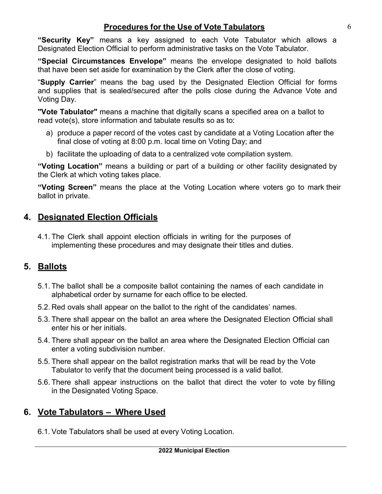**"Security Key"** means a key assigned to each Vote Tabulator which allows a Designated Election Official to perform administrative tasks on the Vote Tabulator.

**"Special Circumstances Envelope"** means the envelope designated to hold ballots that have been set aside for examination by the Clerk after the close of voting.

"**Supply Carrier**" means the bag used by the Designated Election Official for forms and supplies that is sealed/secured after the polls close during the Advance Vote and Voting Day.

**"Vote Tabulator"** means a machine that digitally scans a specified area on a ballot to read vote(s), store information and tabulate results so as to:

- a) produce a paper record of the votes cast by candidate at a Voting Location after the final close of voting at 8:00 p.m. local time on Voting Day; and
- b) facilitate the uploading of data to a centralized vote compilation system.

**"Voting Location"** means a building or part of a building or other facility designated by the Clerk at which voting takes place.

**"Voting Screen"** means the place at the Voting Location where voters go to mark their ballot in private.

### <span id="page-5-0"></span>**4. Designated Election Officials**

4.1. The Clerk shall appoint election officials in writing for the purposes of implementing these procedures and may designate their titles and duties.

## <span id="page-5-1"></span>**5. Ballots**

- 5.1. The ballot shall be a composite ballot containing the names of each candidate in alphabetical order by surname for each office to be elected.
- 5.2. Red ovals shall appear on the ballot to the right of the candidates' names.
- 5.3. There shall appear on the ballot an area where the Designated Election Official shall enter his or her initials.
- 5.4. There shall appear on the ballot an area where the Designated Election Official can enter a voting subdivision number.
- 5.5. There shall appear on the ballot registration marks that will be read by the Vote Tabulator to verify that the document being processed is a valid ballot.
- 5.6. There shall appear instructions on the ballot that direct the voter to vote by filling in the Designated Voting Space.

## <span id="page-5-2"></span>**6. Vote Tabulators – Where Used**

6.1. Vote Tabulators shall be used at every Voting Location.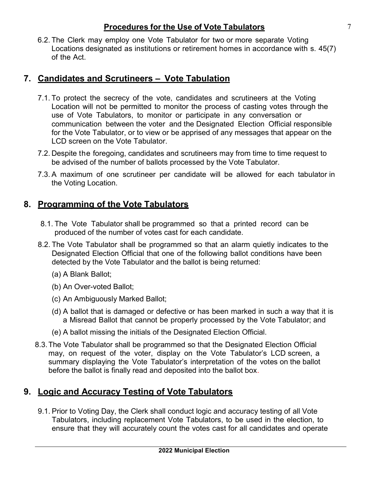6.2. The Clerk may employ one Vote Tabulator for two or more separate Voting Locations designated as institutions or retirement homes in accordance with s. 45(7) of the Act.

## <span id="page-6-0"></span>**7. Candidates and Scrutineers – Vote Tabulation**

- 7.1. To protect the secrecy of the vote, candidates and scrutineers at the Voting Location will not be permitted to monitor the process of casting votes through the use of Vote Tabulators, to monitor or participate in any conversation or communication between the voter and the Designated Election Official responsible for the Vote Tabulator, or to view or be apprised of any messages that appear on the LCD screen on the Vote Tabulator.
- 7.2. Despite the foregoing, candidates and scrutineers may from time to time request to be advised of the number of ballots processed by the Vote Tabulator.
- 7.3. A maximum of one scrutineer per candidate will be allowed for each tabulator in the Voting Location.

#### <span id="page-6-1"></span>**8. Programming of the Vote Tabulators**

- 8.1. The Vote Tabulator shall be programmed so that a printed record can be produced of the number of votes cast for each candidate.
- 8.2. The Vote Tabulator shall be programmed so that an alarm quietly indicates to the Designated Election Official that one of the following ballot conditions have been detected by the Vote Tabulator and the ballot is being returned:
	- (a) A Blank Ballot;
	- (b) An Over-voted Ballot;
	- (c) An Ambiguously Marked Ballot;
	- (d) A ballot that is damaged or defective or has been marked in such a way that it is a Misread Ballot that cannot be properly processed by the Vote Tabulator; and
	- (e) A ballot missing the initials of the Designated Election Official.
- 8.3. The Vote Tabulator shall be programmed so that the Designated Election Official may, on request of the voter, display on the Vote Tabulator's LCD screen, a summary displaying the Vote Tabulator's interpretation of the votes on the ballot before the ballot is finally read and deposited into the ballot box.

#### <span id="page-6-2"></span>**9. Logic and Accuracy Testing of Vote Tabulators**

9.1. Prior to Voting Day, the Clerk shall conduct logic and accuracy testing of all Vote Tabulators, including replacement Vote Tabulators, to be used in the election, to ensure that they will accurately count the votes cast for all candidates and operate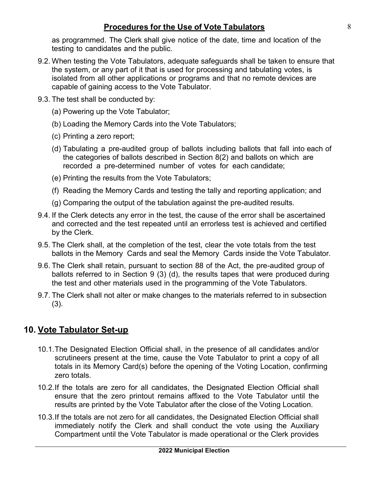as programmed. The Clerk shall give notice of the date, time and location of the testing to candidates and the public.

- 9.2. When testing the Vote Tabulators, adequate safeguards shall be taken to ensure that the system, or any part of it that is used for processing and tabulating votes, is isolated from all other applications or programs and that no remote devices are capable of gaining access to the Vote Tabulator.
- 9.3. The test shall be conducted by:
	- (a) Powering up the Vote Tabulator;
	- (b) Loading the Memory Cards into the Vote Tabulators;
	- (c) Printing a zero report;
	- (d) Tabulating a pre-audited group of ballots including ballots that fall into each of the categories of ballots described in Section 8(2) and ballots on which are recorded a pre-determined number of votes for each candidate;
	- (e) Printing the results from the Vote Tabulators;
	- (f) Reading the Memory Cards and testing the tally and reporting application; and
	- (g) Comparing the output of the tabulation against the pre-audited results.
- 9.4. If the Clerk detects any error in the test, the cause of the error shall be ascertained and corrected and the test repeated until an errorless test is achieved and certified by the Clerk.
- 9.5. The Clerk shall, at the completion of the test, clear the vote totals from the test ballots in the Memory Cards and seal the Memory Cards inside the Vote Tabulator.
- 9.6. The Clerk shall retain, pursuant to section 88 of the Act, the pre-audited group of ballots referred to in Section 9 (3) (d), the results tapes that were produced during the test and other materials used in the programming of the Vote Tabulators.
- 9.7. The Clerk shall not alter or make changes to the materials referred to in subsection (3).

## <span id="page-7-0"></span>**10. Vote Tabulator Set-up**

- 10.1. The Designated Election Official shall, in the presence of all candidates and/or scrutineers present at the time, cause the Vote Tabulator to print a copy of all totals in its Memory Card(s) before the opening of the Voting Location, confirming zero totals.
- 10.2.If the totals are zero for all candidates, the Designated Election Official shall ensure that the zero printout remains affixed to the Vote Tabulator until the results are printed by the Vote Tabulator after the close of the Voting Location.
- 10.3.If the totals are not zero for all candidates, the Designated Election Official shall immediately notify the Clerk and shall conduct the vote using the Auxiliary Compartment until the Vote Tabulator is made operational or the Clerk provides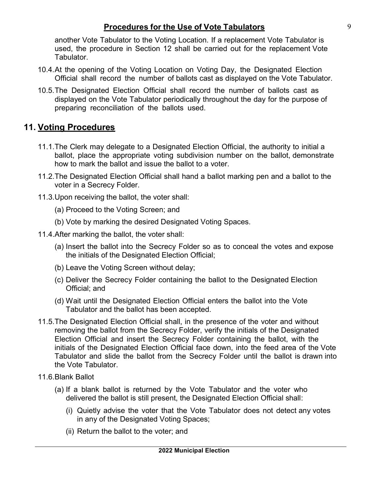another Vote Tabulator to the Voting Location. If a replacement Vote Tabulator is used, the procedure in Section 12 shall be carried out for the replacement Vote Tabulator.

- 10.4.At the opening of the Voting Location on Voting Day, the Designated Election Official shall record the number of ballots cast as displayed on the Vote Tabulator.
- 10.5. The Designated Election Official shall record the number of ballots cast as displayed on the Vote Tabulator periodically throughout the day for the purpose of preparing reconciliation of the ballots used.

#### <span id="page-8-0"></span>**11. Voting Procedures**

- 11.1. The Clerk may delegate to a Designated Election Official, the authority to initial a ballot, place the appropriate voting subdivision number on the ballot, demonstrate how to mark the ballot and issue the ballot to a voter.
- 11.2. The Designated Election Official shall hand a ballot marking pen and a ballot to the voter in a Secrecy Folder.
- 11.3. Upon receiving the ballot, the voter shall:
	- (a) Proceed to the Voting Screen; and
	- (b) Vote by marking the desired Designated Voting Spaces.
- 11.4.After marking the ballot, the voter shall:
	- (a) Insert the ballot into the Secrecy Folder so as to conceal the votes and expose the initials of the Designated Election Official;
	- (b) Leave the Voting Screen without delay;
	- (c) Deliver the Secrecy Folder containing the ballot to the Designated Election Official; and
	- (d) Wait until the Designated Election Official enters the ballot into the Vote Tabulator and the ballot has been accepted.
- 11.5. The Designated Election Official shall, in the presence of the voter and without removing the ballot from the Secrecy Folder, verify the initials of the Designated Election Official and insert the Secrecy Folder containing the ballot, with the initials of the Designated Election Official face down, into the feed area of the Vote Tabulator and slide the ballot from the Secrecy Folder until the ballot is drawn into the Vote Tabulator.
- 11.6.Blank Ballot
	- (a) If a blank ballot is returned by the Vote Tabulator and the voter who delivered the ballot is still present, the Designated Election Official shall:
		- (i) Quietly advise the voter that the Vote Tabulator does not detect any votes in any of the Designated Voting Spaces;
		- (ii) Return the ballot to the voter; and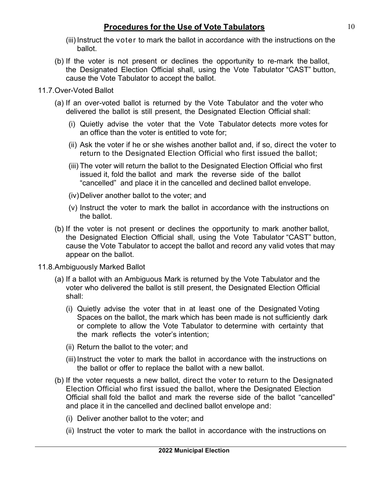- (iii) Instruct the voter to mark the ballot in accordance with the instructions on the ballot.
- (b) If the voter is not present or declines the opportunity to re-mark the ballot, the Designated Election Official shall, using the Vote Tabulator "CAST" button, cause the Vote Tabulator to accept the ballot.

#### 11.7.Over-Voted Ballot

- (a) If an over-voted ballot is returned by the Vote Tabulator and the voter who delivered the ballot is still present, the Designated Election Official shall:
	- (i) Quietly advise the voter that the Vote Tabulator detects more votes for an office than the voter is entitled to vote for;
	- (ii) Ask the voter if he or she wishes another ballot and, if so, direct the voter to return to the Designated Election Official who first issued the ballot;
	- (iii) The voter will return the ballot to the Designated Election Official who first issued it, fold the ballot and mark the reverse side of the ballot "cancelled" and place it in the cancelled and declined ballot envelope.
	- (iv)Deliver another ballot to the voter; and
	- (v) Instruct the voter to mark the ballot in accordance with the instructions on the ballot.
- (b) If the voter is not present or declines the opportunity to mark another ballot, the Designated Election Official shall, using the Vote Tabulator "CAST" button, cause the Vote Tabulator to accept the ballot and record any valid votes that may appear on the ballot.
- 11.8.Ambiguously Marked Ballot
	- (a) If a ballot with an Ambiguous Mark is returned by the Vote Tabulator and the voter who delivered the ballot is still present, the Designated Election Official shall:
		- (i) Quietly advise the voter that in at least one of the Designated Voting Spaces on the ballot, the mark which has been made is not sufficiently dark or complete to allow the Vote Tabulator to determine with certainty that the mark reflects the voter's intention;
		- (ii) Return the ballot to the voter; and
		- (iii) Instruct the voter to mark the ballot in accordance with the instructions on the ballot or offer to replace the ballot with a new ballot.
	- (b) If the voter requests a new ballot, direct the voter to return to the Designated Election Official who first issued the ballot, where the Designated Election Official shall fold the ballot and mark the reverse side of the ballot "cancelled" and place it in the cancelled and declined ballot envelope and:
		- (i) Deliver another ballot to the voter; and
		- (ii) Instruct the voter to mark the ballot in accordance with the instructions on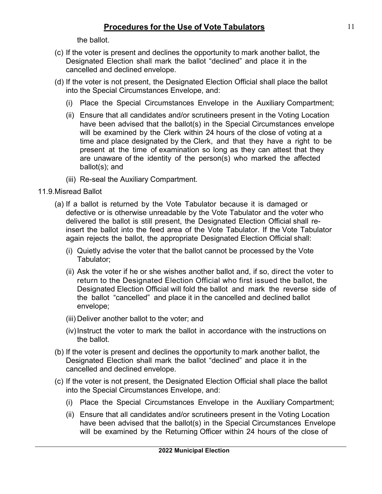the ballot.

- (c) If the voter is present and declines the opportunity to mark another ballot, the Designated Election shall mark the ballot "declined" and place it in the cancelled and declined envelope.
- (d) If the voter is not present, the Designated Election Official shall place the ballot into the Special Circumstances Envelope, and:
	- (i) Place the Special Circumstances Envelope in the Auxiliary Compartment;
	- (ii) Ensure that all candidates and/or scrutineers present in the Voting Location have been advised that the ballot(s) in the Special Circumstances envelope will be examined by the Clerk within 24 hours of the close of voting at a time and place designated by the Clerk, and that they have a right to be present at the time of examination so long as they can attest that they are unaware of the identity of the person(s) who marked the affected ballot(s); and
	- (iii) Re-seal the Auxiliary Compartment.
- 11.9.Misread Ballot
	- (a) If a ballot is returned by the Vote Tabulator because it is damaged or defective or is otherwise unreadable by the Vote Tabulator and the voter who delivered the ballot is still present, the Designated Election Official shall reinsert the ballot into the feed area of the Vote Tabulator. If the Vote Tabulator again rejects the ballot, the appropriate Designated Election Official shall:
		- (i) Quietly advise the voter that the ballot cannot be processed by the Vote Tabulator;
		- (ii) Ask the voter if he or she wishes another ballot and, if so, direct the voter to return to the Designated Election Official who first issued the ballot, the Designated Election Official will fold the ballot and mark the reverse side of the ballot "cancelled" and place it in the cancelled and declined ballot envelope;
		- (iii) Deliver another ballot to the voter; and
		- (iv)Instruct the voter to mark the ballot in accordance with the instructions on the ballot.
	- (b) If the voter is present and declines the opportunity to mark another ballot, the Designated Election shall mark the ballot "declined" and place it in the cancelled and declined envelope.
	- (c) If the voter is not present, the Designated Election Official shall place the ballot into the Special Circumstances Envelope, and:
		- (i) Place the Special Circumstances Envelope in the Auxiliary Compartment;
		- (ii) Ensure that all candidates and/or scrutineers present in the Voting Location have been advised that the ballot(s) in the Special Circumstances Envelope will be examined by the Returning Officer within 24 hours of the close of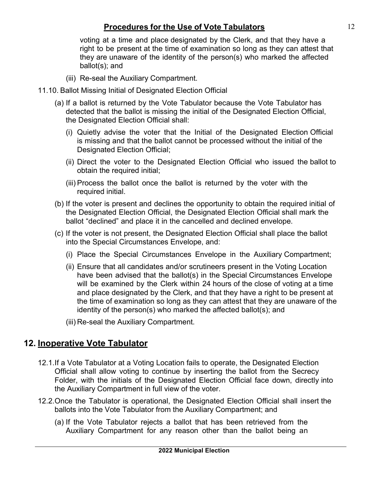voting at a time and place designated by the Clerk, and that they have a right to be present at the time of examination so long as they can attest that they are unaware of the identity of the person(s) who marked the affected ballot(s); and

- (iii) Re-seal the Auxiliary Compartment.
- 11.10. Ballot Missing Initial of Designated Election Official
	- (a) If a ballot is returned by the Vote Tabulator because the Vote Tabulator has detected that the ballot is missing the initial of the Designated Election Official, the Designated Election Official shall:
		- (i) Quietly advise the voter that the Initial of the Designated Election Official is missing and that the ballot cannot be processed without the initial of the Designated Election Official;
		- (ii) Direct the voter to the Designated Election Official who issued the ballot to obtain the required initial;
		- (iii) Process the ballot once the ballot is returned by the voter with the required initial.
	- (b) If the voter is present and declines the opportunity to obtain the required initial of the Designated Election Official, the Designated Election Official shall mark the ballot "declined" and place it in the cancelled and declined envelope.
	- (c) If the voter is not present, the Designated Election Official shall place the ballot into the Special Circumstances Envelope, and:
		- (i) Place the Special Circumstances Envelope in the Auxiliary Compartment;
		- (ii) Ensure that all candidates and/or scrutineers present in the Voting Location have been advised that the ballot(s) in the Special Circumstances Envelope will be examined by the Clerk within 24 hours of the close of voting at a time and place designated by the Clerk, and that they have a right to be present at the time of examination so long as they can attest that they are unaware of the identity of the person(s) who marked the affected ballot(s); and
		- (iii) Re-seal the Auxiliary Compartment.

#### <span id="page-11-0"></span>**12. Inoperative Vote Tabulator**

- 12.1.If a Vote Tabulator at a Voting Location fails to operate, the Designated Election Official shall allow voting to continue by inserting the ballot from the Secrecy Folder, with the initials of the Designated Election Official face down, directly into the Auxiliary Compartment in full view of the voter.
- 12.2. Once the Tabulator is operational, the Designated Election Official shall insert the ballots into the Vote Tabulator from the Auxiliary Compartment; and
	- (a) If the Vote Tabulator rejects a ballot that has been retrieved from the Auxiliary Compartment for any reason other than the ballot being an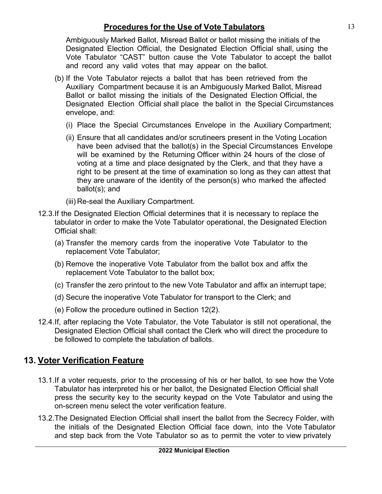Ambiguously Marked Ballot, Misread Ballot or ballot missing the initials of the Designated Election Official, the Designated Election Official shall, using the Vote Tabulator "CAST" button cause the Vote Tabulator to accept the ballot and record any valid votes that may appear on the ballot.

- (b) If the Vote Tabulator rejects a ballot that has been retrieved from the Auxiliary Compartment because it is an Ambiguously Marked Ballot, Misread Ballot or ballot missing the initials of the Designated Election Official, the Designated Election Official shall place the ballot in the Special Circumstances envelope, and:
	- (i) Place the Special Circumstances Envelope in the Auxiliary Compartment;
	- (ii) Ensure that all candidates and/or scrutineers present in the Voting Location have been advised that the ballot(s) in the Special Circumstances Envelope will be examined by the Returning Officer within 24 hours of the close of voting at a time and place designated by the Clerk, and that they have a right to be present at the time of examination so long as they can attest that they are unaware of the identity of the person(s) who marked the affected ballot(s); and
	- (iii) Re-seal the Auxiliary Compartment.
- 12.3.If the Designated Election Official determines that it is necessary to replace the tabulator in order to make the Vote Tabulator operational, the Designated Election Official shall:
	- (a) Transfer the memory cards from the inoperative Vote Tabulator to the replacement Vote Tabulator;
	- (b) Remove the inoperative Vote Tabulator from the ballot box and affix the replacement Vote Tabulator to the ballot box;
	- (c) Transfer the zero printout to the new Vote Tabulator and affix an interrupt tape;
	- (d) Secure the inoperative Vote Tabulator for transport to the Clerk; and
	- (e) Follow the procedure outlined in Section 12(2).
- 12.4.If, after replacing the Vote Tabulator, the Vote Tabulator is still not operational, the Designated Election Official shall contact the Clerk who will direct the procedure to be followed to complete the tabulation of ballots.

#### <span id="page-12-0"></span>**13. Voter Verification Feature**

- 13.1.If a voter requests, prior to the processing of his or her ballot, to see how the Vote Tabulator has interpreted his or her ballot, the Designated Election Official shall press the security key to the security keypad on the Vote Tabulator and using the on-screen menu select the voter verification feature.
- 13.2. The Designated Election Official shall insert the ballot from the Secrecy Folder, with the initials of the Designated Election Official face down, into the Vote Tabulator and step back from the Vote Tabulator so as to permit the voter to view privately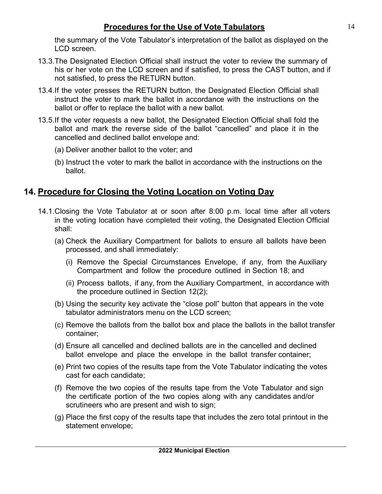the summary of the Vote Tabulator's interpretation of the ballot as displayed on the LCD screen.

- 13.3. The Designated Election Official shall instruct the voter to review the summary of his or her vote on the LCD screen and if satisfied, to press the CAST button, and if not satisfied, to press the RETURN button.
- 13.4.If the voter presses the RETURN button, the Designated Election Official shall instruct the voter to mark the ballot in accordance with the instructions on the ballot or offer to replace the ballot with a new ballot.
- 13.5.If the voter requests a new ballot, the Designated Election Official shall fold the ballot and mark the reverse side of the ballot "cancelled" and place it in the cancelled and declined ballot envelope and:
	- (a) Deliver another ballot to the voter; and
	- (b) Instruct the voter to mark the ballot in accordance with the instructions on the ballot.

## <span id="page-13-0"></span>**14. Procedure for Closing the Voting Location on Voting Day**

- 14.1. Closing the Vote Tabulator at or soon after 8:00 p.m. local time after all voters in the voting location have completed their voting, the Designated Election Official shall:
	- (a) Check the Auxiliary Compartment for ballots to ensure all ballots have been processed, and shall immediately:
		- (i) Remove the Special Circumstances Envelope, if any, from the Auxiliary Compartment and follow the procedure outlined in Section 18; and
		- (ii) Process ballots, if any, from the Auxiliary Compartment, in accordance with the procedure outlined in Section 12(2);
	- (b) Using the security key activate the "close poll" button that appears in the vote tabulator administrators menu on the LCD screen;
	- (c) Remove the ballots from the ballot box and place the ballots in the ballot transfer container;
	- (d) Ensure all cancelled and declined ballots are in the cancelled and declined ballot envelope and place the envelope in the ballot transfer container;
	- (e) Print two copies of the results tape from the Vote Tabulator indicating the votes cast for each candidate;
	- (f) Remove the two copies of the results tape from the Vote Tabulator and sign the certificate portion of the two copies along with any candidates and/or scrutineers who are present and wish to sign;
	- (g) Place the first copy of the results tape that includes the zero total printout in the statement envelope;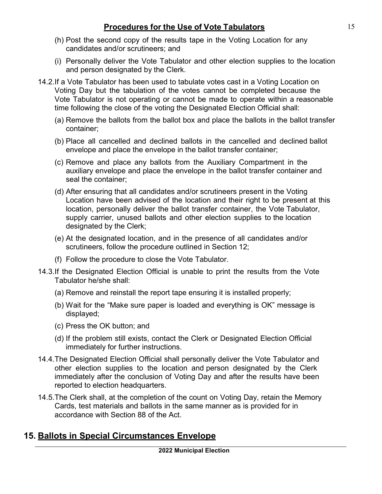- (h) Post the second copy of the results tape in the Voting Location for any candidates and/or scrutineers; and
- (i) Personally deliver the Vote Tabulator and other election supplies to the location and person designated by the Clerk.
- 14.2.If a Vote Tabulator has been used to tabulate votes cast in a Voting Location on Voting Day but the tabulation of the votes cannot be completed because the Vote Tabulator is not operating or cannot be made to operate within a reasonable time following the close of the voting the Designated Election Official shall:
	- (a) Remove the ballots from the ballot box and place the ballots in the ballot transfer container;
	- (b) Place all cancelled and declined ballots in the cancelled and declined ballot envelope and place the envelope in the ballot transfer container;
	- (c) Remove and place any ballots from the Auxiliary Compartment in the auxiliary envelope and place the envelope in the ballot transfer container and seal the container;
	- (d) After ensuring that all candidates and/or scrutineers present in the Voting Location have been advised of the location and their right to be present at this location, personally deliver the ballot transfer container, the Vote Tabulator, supply carrier, unused ballots and other election supplies to the location designated by the Clerk;
	- (e) At the designated location, and in the presence of all candidates and/or scrutineers, follow the procedure outlined in Section 12;
	- (f) Follow the procedure to close the Vote Tabulator.
- 14.3.If the Designated Election Official is unable to print the results from the Vote Tabulator he/she shall:
	- (a) Remove and reinstall the report tape ensuring it is installed properly;
	- (b) Wait for the "Make sure paper is loaded and everything is OK" message is displayed;
	- (c) Press the OK button; and
	- (d) If the problem still exists, contact the Clerk or Designated Election Official immediately for further instructions.
- 14.4. The Designated Election Official shall personally deliver the Vote Tabulator and other election supplies to the location and person designated by the Clerk immediately after the conclusion of Voting Day and after the results have been reported to election headquarters.
- 14.5. The Clerk shall, at the completion of the count on Voting Day, retain the Memory Cards, test materials and ballots in the same manner as is provided for in accordance with Section 88 of the Act.

#### <span id="page-14-0"></span>**15. Ballots in Special Circumstances Envelope**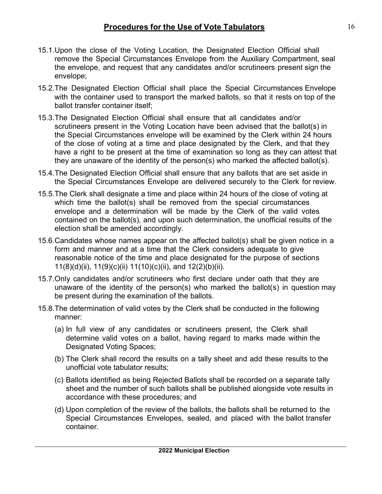- 15.1.Upon the close of the Voting Location, the Designated Election Official shall remove the Special Circumstances Envelope from the Auxiliary Compartment, seal the envelope, and request that any candidates and/or scrutineers present sign the envelope;
- 15.2.The Designated Election Official shall place the Special Circumstances Envelope with the container used to transport the marked ballots, so that it rests on top of the ballot transfer container itself;
- 15.3.The Designated Election Official shall ensure that all candidates and/or scrutineers present in the Voting Location have been advised that the ballot(s) in the Special Circumstances envelope will be examined by the Clerk within 24 hours of the close of voting at a time and place designated by the Clerk, and that they have a right to be present at the time of examination so long as they can attest that they are unaware of the identity of the person(s) who marked the affected ballot(s).
- 15.4.The Designated Election Official shall ensure that any ballots that are set aside in the Special Circumstances Envelope are delivered securely to the Clerk for review.
- 15.5.The Clerk shall designate a time and place within 24 hours of the close of voting at which time the ballot(s) shall be removed from the special circumstances envelope and a determination will be made by the Clerk of the valid votes contained on the ballot(s), and upon such determination, the unofficial results of the election shall be amended accordingly.
- 15.6.Candidates whose names appear on the affected ballot(s) shall be given notice in a form and manner and at a time that the Clerk considers adequate to give reasonable notice of the time and place designated for the purpose of sections 11(8)(d)(ii), 11(9)(c)(ii) 11(10)(c)(ii), and 12(2)(b)(ii).
- 15.7.Only candidates and/or scrutineers who first declare under oath that they are unaware of the identity of the person(s) who marked the ballot(s) in question may be present during the examination of the ballots.
- 15.8.The determination of valid votes by the Clerk shall be conducted in the following manner:
	- (a) In full view of any candidates or scrutineers present, the Clerk shall determine valid votes on a ballot, having regard to marks made within the Designated Voting Spaces;
	- (b) The Clerk shall record the results on a tally sheet and add these results to the unofficial vote tabulator results;
	- (c) Ballots identified as being Rejected Ballots shall be recorded on a separate tally sheet and the number of such ballots shall be published alongside vote results in accordance with these procedures; and
	- (d) Upon completion of the review of the ballots, the ballots shall be returned to the Special Circumstances Envelopes, sealed, and placed with the ballot transfer container.